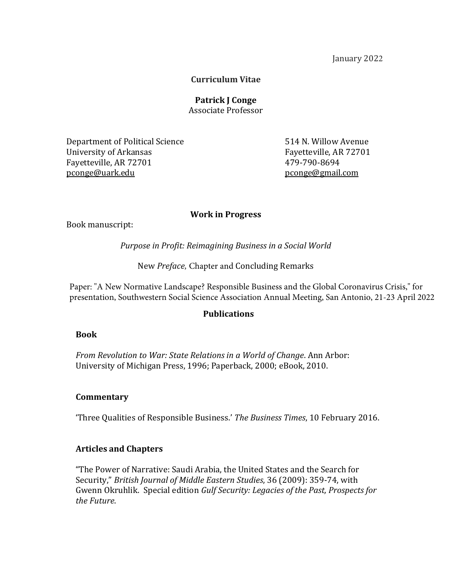January 2022

## **Curriculum Vitae**

**Patrick J Conge** Associate Professor

Department of Political Science 514 N. Willow Avenue University of Arkansas Fayetteville, AR 72701 Fayetteville, AR 72701 479-790-8694 [pconge@uark.edu](mailto:pconge@uark.edu) pconge@gmail.com

#### **Work in Progress**

Book manuscript:

*Purpose in Profit: Reimagining Business in a Social World*

New *Preface,* Chapter and Concluding Remarks

Paper: "A New Normative Landscape? Responsible Business and the Global Coronavirus Crisis," for presentation, Southwestern Social Science Association Annual Meeting, San Antonio, 21-23 April 2022

### **Publications**

### **Book**

*From Revolution to War: State Relations in a World of Change*. Ann Arbor: University of Michigan Press, 1996; Paperback, 2000; eBook, 2010.

### **Commentary**

'Three Qualities of Responsible Business.' *The Business Times*, 10 February 2016.

### **Articles and Chapters**

"The Power of Narrative: Saudi Arabia, the United States and the Search for Security," *British Journal of Middle Eastern Studies*, 36 (2009): 359-74, with Gwenn Okruhlik. Special edition *Gulf Security: Legacies of the Past, Prospects for the Future*.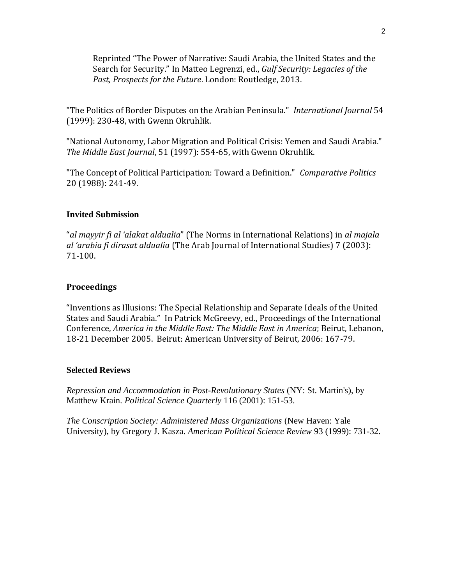Reprinted "The Power of Narrative: Saudi Arabia, the United States and the Search for Security." In Matteo Legrenzi, ed., *Gulf Security: Legacies of the Past, Prospects for the Future*. London: Routledge, 2013.

"The Politics of Border Disputes on the Arabian Peninsula." *International Journal* 54 (1999): 230-48, with Gwenn Okruhlik.

"National Autonomy, Labor Migration and Political Crisis: Yemen and Saudi Arabia." *The Middle East Journal*, 51 (1997): 554-65, with Gwenn Okruhlik.

"The Concept of Political Participation: Toward a Definition." *Comparative Politics* 20 (1988): 241-49.

## **Invited Submission**

"*al mayyir fi al 'alakat aldualia*" (The Norms in International Relations) in *al majala al 'arabia fi dirasat aldualia* (The Arab Journal of International Studies) 7 (2003): 71-100.

## **Proceedings**

"Inventions as Illusions: The Special Relationship and Separate Ideals of the United States and Saudi Arabia." In Patrick McGreevy, ed., Proceedings of the International Conference, *America in the Middle East: The Middle East in America*; Beirut, Lebanon, 18-21 December 2005. Beirut: American University of Beirut, 2006: 167-79.

### **Selected Reviews**

*Repression and Accommodation in Post-Revolutionary States* (NY: St. Martin's), by Matthew Krain. *Political Science Quarterly* 116 (2001): 151-53.

*The Conscription Society: Administered Mass Organizations* (New Haven: Yale University), by Gregory J. Kasza. *American Political Science Review* 93 (1999): 731-32.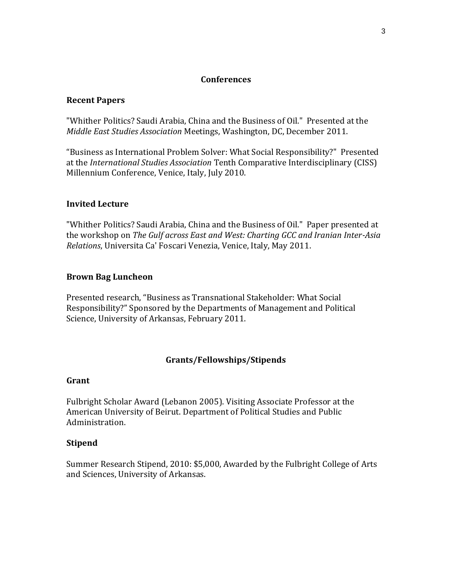## **Conferences**

## **Recent Papers**

"Whither Politics? Saudi Arabia, China and the Business of Oil." Presented at the *Middle East Studies Association* Meetings, Washington, DC, December 2011.

"Business as International Problem Solver: What Social Responsibility?" Presented at the *International Studies Association* Tenth Comparative Interdisciplinary (CISS) Millennium Conference, Venice, Italy, July 2010.

### **Invited Lecture**

"Whither Politics? Saudi Arabia, China and the Business of Oil." Paper presented at the workshop on *The Gulf across East and West: Charting GCC and Iranian Inter-Asia Relations*, Universita Ca' Foscari Venezia, Venice, Italy, May 2011.

## **Brown Bag Luncheon**

Presented research, "Business as Transnational Stakeholder: What Social Responsibility?" Sponsored by the Departments of Management and Political Science, University of Arkansas, February 2011.

# **Grants/Fellowships/Stipends**

#### **Grant**

Fulbright Scholar Award (Lebanon 2005). Visiting Associate Professor at the American University of Beirut. Department of Political Studies and Public Administration.

### **Stipend**

Summer Research Stipend, 2010: \$5,000, Awarded by the Fulbright College of Arts and Sciences, University of Arkansas.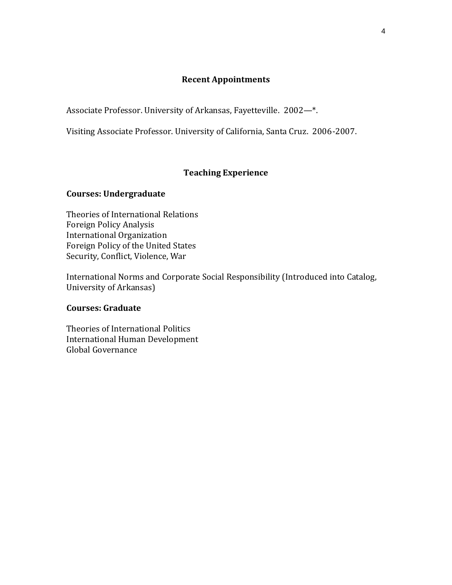## **Recent Appointments**

Associate Professor. University of Arkansas, Fayetteville. 2002—\*.

Visiting Associate Professor. University of California, Santa Cruz. 2006-2007.

## **Teaching Experience**

## **Courses: Undergraduate**

Theories of International Relations Foreign Policy Analysis International Organization Foreign Policy of the United States Security, Conflict, Violence, War

International Norms and Corporate Social Responsibility (Introduced into Catalog, University of Arkansas)

### **Courses: Graduate**

Theories of International Politics International Human Development Global Governance